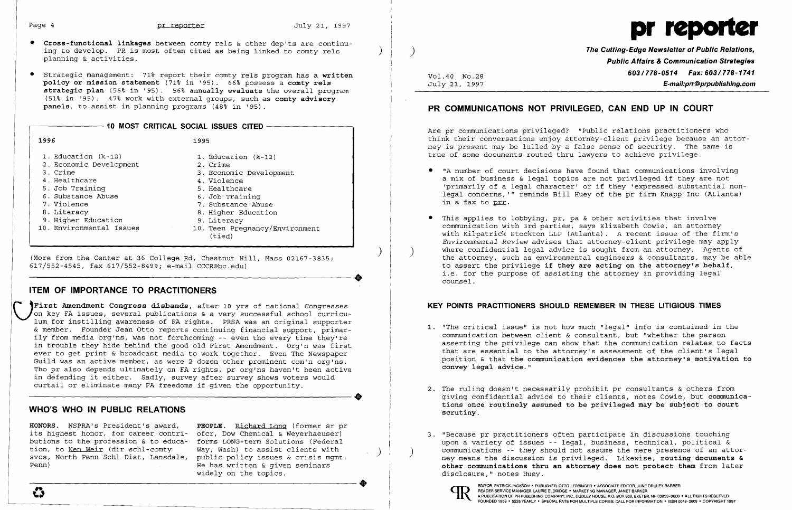- • **Cross-functional linkages** between comty rels & other dep'ts are continuing to develop. PR is most often cited as being linked to comty rels ) planning & activities.
- Strategic management: 71% report their comty rels program has a written **policy or mission statement** (71~ in '95). 66~ possess a **comty rels strategic plan** (56% in '95). 56% **annually evaluate** the overall program (51% in '95). 47~ work with external groups, such as **comty advisory panels,** to assist in planning programs (48% in '95).

| 10 MOST CRITICAL SOCIAL ISSUES CITED                                                                                                                                                                    |                                                                                                                                                                                                                       |
|---------------------------------------------------------------------------------------------------------------------------------------------------------------------------------------------------------|-----------------------------------------------------------------------------------------------------------------------------------------------------------------------------------------------------------------------|
| 1996                                                                                                                                                                                                    | 1995                                                                                                                                                                                                                  |
| 1. Education $(k-12)$<br>2. Economic Development<br>3. Crime<br>4. Healthcare<br>5. Job Training<br>6. Substance Abuse<br>7. Violence<br>8. Literacy<br>9. Higher Education<br>10. Environmental Issues | 1. Education (k-12)<br>2. Crime<br>3. Economic Development<br>4. Violence<br>5. Healthcare<br>6. Job Training<br>7. Substance Abuse<br>8. Higher Education<br>9. Literacy<br>10. Teen Preqnancy/Environment<br>(tied) |

) (More from the Center at 36 College Rd, Chestnut Hill, Mass 02167-3835; ----------------------+ 617/552-4545, fax 617/552-8499; e-mail CCCR@bc.edu)

## **ITEM OF IMPORTANCE TO PRACTITIONERS**

public policy issues & crisis mqmt. He has written  $\&$  given seminars widely on the topics.

**'First Amendment Congress disbands,** after 18 yrs of national Congresses on key FA issues, several publications & a very successful school curriculum for instilling awareness of FA rights. PRSA was an original supporter & member. Founder Jean Otto reports continuing financial support, primarily from media org'ns, was not forthcoming -- even tho every time they're in trouble they hide behind the good old First Amendment. Org'n was first ever to get print & broadcast media to work together. Even The Newspaper Guild was an active member, as were 2 dozen other prominent com'n org'ns. Tho pr also depends ultimately on FA rights, pr org'ns haven't been active in defending it either. Sadly, survey after survey shows voters would<br>curtail or eliminate many FA freedoms if given the opportunity. curtail or eliminate many FA freedoms if given the opportunity.

with Kilpatrick Stockton LLP (Atlanta). A recent issue of the firm's *Environmental Review* advises that attorney-client privilege may apply the attorney, such as environmental engineers  $\&$  consultants, may be able

- communication between client & consultant, but "whether the person **convey legal advice."**
- 2. The ruling doesn't necessarily prohibit pr consultants & others from **scrutiny.**
- 3. "Because pr practitioners often participate in discussions touching upon a variety of issues -- legal, business, technical, political & disclosure," notes Huey.  $\footnotesize{\begin{smallmatrix}\texttt{Penn}\end{smallmatrix}}\quad\texttt{Penn}\quad\texttt{Penn}\quad\texttt{Penn}\quad\texttt{Penn}\quad\texttt{Penn}\quad\texttt{Penn}\quad\texttt{Penn}\quad\texttt{Penn}\quad\texttt{Penn}\quad\texttt{Penn}\quad\texttt{Penn}\quad\texttt{Penn}\quad\texttt{Penn}\quad\texttt{Penn}\quad\texttt{Penn}\quad\texttt{Penn}\quad\texttt{Penn}\quad\texttt{Penn}\quad\texttt{Penn}\quad\texttt{Penn}\quad\texttt{Penn}\quad\texttt{Pone}\quad\texttt{Pone}\quad\texttt{Pone}\quad\texttt{P$



### **WHO'S WHO IN PUBLIC RELATIONS**

**HONORS.** NSPRA's President's award, **PEOPLE**. <u>Richard Long</u> (former sr pr its highest honor, for career contri- of cr, Dow Chemical & Weyerhaeuser) its highest honor, for career contri- ofcr, Dow Chemical & Weyerhaeuser)<br>butions to the profession & to educa- forms LONG-term Solutions (Federal butions to the profession & to educa- forms LONG-term Solutions (Federal<br>tion, to Ken Weir (dir schl-comty Way, Wash) to assist clients with tion, to Ken Weir (dir schl-comty svcs, North Penn Schl Dist, Lansdale, Penn)

communications -- they should not assume the mere presence of an attorney means the discussion is privileged. Likewise, **routing documents & other communications thru an attorney does not protect them** from later



**The Cutting-Edge Newsletter of Public Relations, Public Affairs & Communication Strategies**  *603/778-0514 Fax: 603/778-1741* Vol.40 NO.28 E-mail:prr@prpublishing.com

# **PR COMMUNICATIONS NOT PRIVILEGED, CAN END UP IN COURT**

Are pr communications privileged? "Public relations practitioners who think their conversations enjoy attorney-client privilege because an attorney is present may be lulled by a false sense of security. The same is true of some documents routed thru lawyers to achieve privilege.

'primarily of a legal character' or if they 'expressed substantial nonlegal concerns, '" reminds Bill Huey of the pr firm Knapp Inc (Atlanta)

- • "A number of court decisions have found that communications involving a mix of business & legal topics are not privileged if they are not in a fax to prr.
- • This applies to lobbying, pr, pa & other activities that involve communication with 3rd parties, says Elizabeth Cowie, an attorney to assert the privilege **if they are acting on the attorney's behalf,**  i.e. for the purpose of assisting the attorney in providing legal counsel.

## **KEY POINTS PRACTITIONERS SHOULD REMEMBER IN THESE LITIGIOUS TIMES**

1. "The critical issue" is not how much "legal" info is contained in the asserting the privilege can show that the communication relates to facts that are essential to the attorney's assessment of the client's legal position & that **the communication evidences the attorney's motivation to** 

giving confidential advice to their clients, notes Cowie, but **communications once routinely assumed to be privileged may be subject to court**